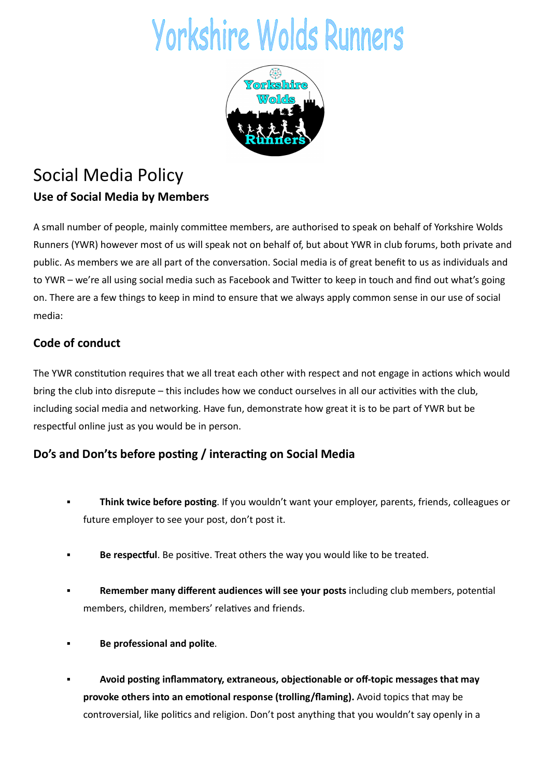# **Yorkshire Wolds Runners**



## Social Media Policy Use of Social Media by Members

A small number of people, mainly committee members, are authorised to speak on behalf of Yorkshire Wolds Runners (YWR) however most of us will speak not on behalf of, but about YWR in club forums, both private and public. As members we are all part of the conversation. Social media is of great benefit to us as individuals and to YWR – we're all using social media such as Facebook and Twitter to keep in touch and find out what's going on. There are a few things to keep in mind to ensure that we always apply common sense in our use of social media:

### Code of conduct

The YWR constitution requires that we all treat each other with respect and not engage in actions which would bring the club into disrepute – this includes how we conduct ourselves in all our activities with the club, including social media and networking. Have fun, demonstrate how great it is to be part of YWR but be respectful online just as you would be in person.

#### Do's and Don'ts before posting / interacting on Social Media

- Think twice before posting. If you wouldn't want your employer, parents, friends, colleagues or future employer to see your post, don't post it.
- Be respectful. Be positive. Treat others the way you would like to be treated.
- Remember many different audiences will see your posts including club members, potential members, children, members' relatives and friends.
- Be professional and polite.
- Avoid posting inflammatory, extraneous, objectionable or off-topic messages that may provoke others into an emotional response (trolling/flaming). Avoid topics that may be controversial, like politics and religion. Don't post anything that you wouldn't say openly in a